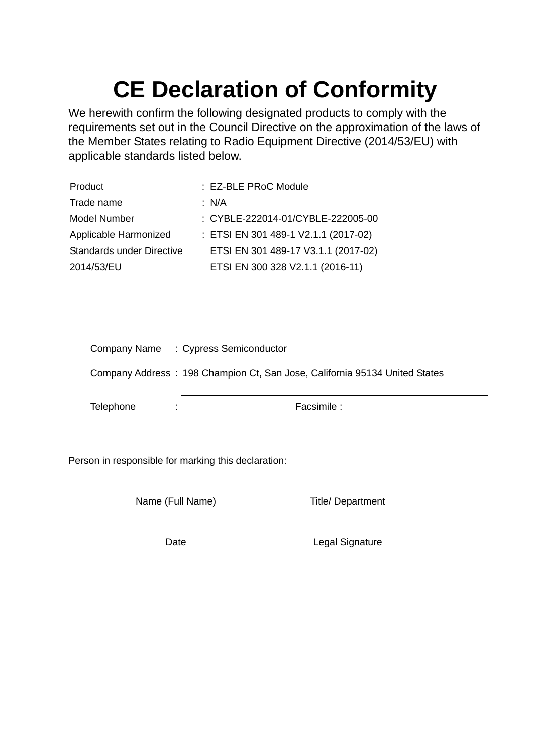## **CE Declaration of Conformity**

We herewith confirm the following designated products to comply with the requirements set out in the Council Directive on the approximation of the laws of the Member States relating to Radio Equipment Directive (2014/53/EU) with applicable standards listed below.

| Product                          | : EZ-BLE PRoC Module                 |
|----------------------------------|--------------------------------------|
| Trade name                       | : $N/A$                              |
| <b>Model Number</b>              | : CYBLE-222014-01/CYBLE-222005-00    |
| Applicable Harmonized            | : ETSI EN 301 489-1 V2.1.1 (2017-02) |
| <b>Standards under Directive</b> | ETSI EN 301 489-17 V3.1.1 (2017-02)  |
| 2014/53/EU                       | ETSI EN 300 328 V2.1.1 (2016-11)     |

|           | Company Name : Cypress Semiconductor                                       |
|-----------|----------------------------------------------------------------------------|
|           | Company Address: 198 Champion Ct, San Jose, California 95134 United States |
| Telephone | Facsimile :                                                                |

Person in responsible for marking this declaration:

Name (Full Name) Title/ Department

Date **Date** Legal Signature